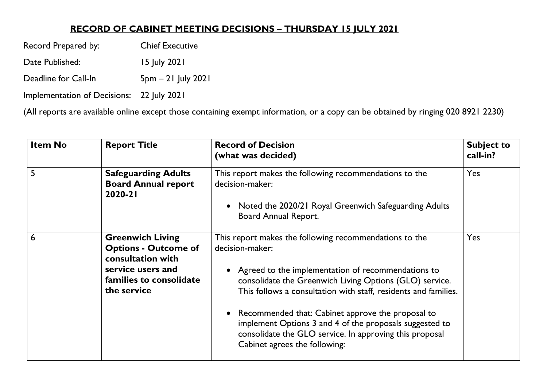## **RECORD OF CABINET MEETING DECISIONS – THURSDAY 15 JULY 2021**

Record Prepared by: Chief Executive

Date Published: 15 July 2021

Deadline for Call-In 5pm - 21 July 2021

Implementation of Decisions: 22 July 2021

(All reports are available online except those containing exempt information, or a copy can be obtained by ringing 020 8921 2230)

| <b>Item No</b> | <b>Report Title</b>                                                                                                                        | <b>Record of Decision</b><br>(what was decided)                                                                                                                                                                                                                                                                                                                                                                                                                               | <b>Subject to</b><br>call-in? |
|----------------|--------------------------------------------------------------------------------------------------------------------------------------------|-------------------------------------------------------------------------------------------------------------------------------------------------------------------------------------------------------------------------------------------------------------------------------------------------------------------------------------------------------------------------------------------------------------------------------------------------------------------------------|-------------------------------|
| 5              | <b>Safeguarding Adults</b><br><b>Board Annual report</b><br>2020-21                                                                        | This report makes the following recommendations to the<br>decision-maker:<br>Noted the 2020/21 Royal Greenwich Safeguarding Adults<br>$\bullet$<br>Board Annual Report.                                                                                                                                                                                                                                                                                                       | Yes                           |
| 6              | <b>Greenwich Living</b><br><b>Options - Outcome of</b><br>consultation with<br>service users and<br>families to consolidate<br>the service | This report makes the following recommendations to the<br>decision-maker:<br>• Agreed to the implementation of recommendations to<br>consolidate the Greenwich Living Options (GLO) service.<br>This follows a consultation with staff, residents and families.<br>• Recommended that: Cabinet approve the proposal to<br>implement Options 3 and 4 of the proposals suggested to<br>consolidate the GLO service. In approving this proposal<br>Cabinet agrees the following: | Yes                           |